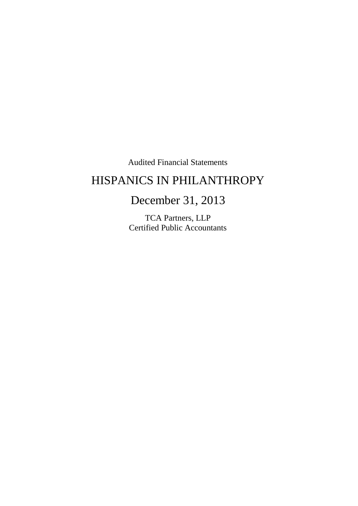Audited Financial Statements

# HISPANICS IN PHILANTHROPY

# December 31, 2013

TCA Partners, LLP Certified Public Accountants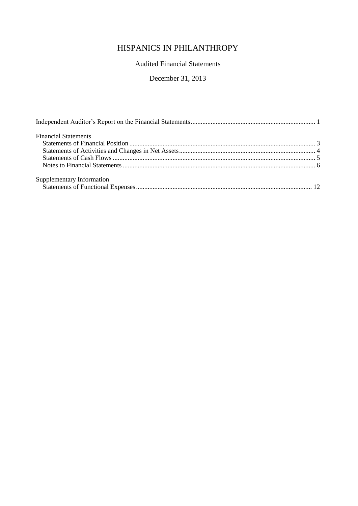# Audited Financial Statements

# December 31, 2013

| <b>Financial Statements</b> |  |
|-----------------------------|--|
|                             |  |
|                             |  |
|                             |  |
|                             |  |
| Supplementary Information   |  |
|                             |  |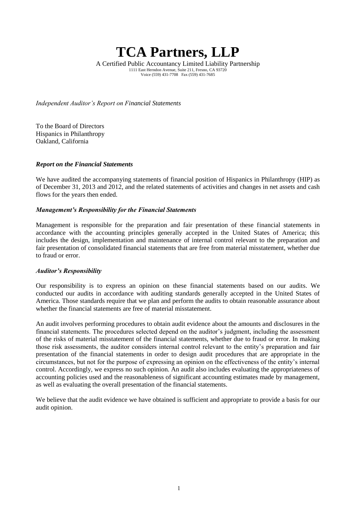# **TCA Partners, LLP**

A Certified Public Accountancy Limited Liability Partnership 1111 East Herndon Avenue, Suite 211, Fresno, CA 93720 Voice (559) 431-7708 Fax (559) 431-7685

*Independent Auditor's Report on Financial Statements*

To the Board of Directors Hispanics in Philanthropy Oakland, California

#### *Report on the Financial Statements*

We have audited the accompanying statements of financial position of Hispanics in Philanthropy (HIP) as of December 31, 2013 and 2012, and the related statements of activities and changes in net assets and cash flows for the years then ended.

#### *Management's Responsibility for the Financial Statements*

Management is responsible for the preparation and fair presentation of these financial statements in accordance with the accounting principles generally accepted in the United States of America; this includes the design, implementation and maintenance of internal control relevant to the preparation and fair presentation of consolidated financial statements that are free from material misstatement, whether due to fraud or error.

#### *Auditor's Responsibility*

Our responsibility is to express an opinion on these financial statements based on our audits. We conducted our audits in accordance with auditing standards generally accepted in the United States of America. Those standards require that we plan and perform the audits to obtain reasonable assurance about whether the financial statements are free of material misstatement.

An audit involves performing procedures to obtain audit evidence about the amounts and disclosures in the financial statements. The procedures selected depend on the auditor's judgment, including the assessment of the risks of material misstatement of the financial statements, whether due to fraud or error. In making those risk assessments, the auditor considers internal control relevant to the entity's preparation and fair presentation of the financial statements in order to design audit procedures that are appropriate in the circumstances, but not for the purpose of expressing an opinion on the effectiveness of the entity's internal control. Accordingly, we express no such opinion. An audit also includes evaluating the appropriateness of accounting policies used and the reasonableness of significant accounting estimates made by management, as well as evaluating the overall presentation of the financial statements.

We believe that the audit evidence we have obtained is sufficient and appropriate to provide a basis for our audit opinion.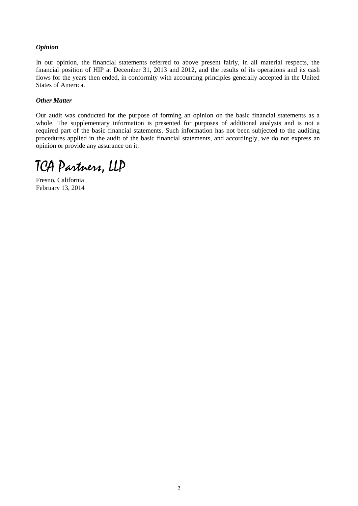#### *Opinion*

In our opinion, the financial statements referred to above present fairly, in all material respects, the financial position of HIP at December 31, 2013 and 2012, and the results of its operations and its cash flows for the years then ended, in conformity with accounting principles generally accepted in the United States of America.

#### *Other Matter*

Our audit was conducted for the purpose of forming an opinion on the basic financial statements as a whole. The supplementary information is presented for purposes of additional analysis and is not a required part of the basic financial statements. Such information has not been subjected to the auditing procedures applied in the audit of the basic financial statements, and accordingly, we do not express an opinion or provide any assurance on it.

TCA Partners, LLP

Fresno, California February 13, 2014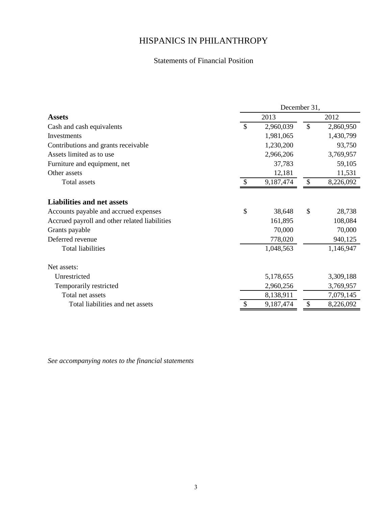## Statements of Financial Position

|                                               | December 31,  |           |                           |           |  |  |  |
|-----------------------------------------------|---------------|-----------|---------------------------|-----------|--|--|--|
| <b>Assets</b>                                 | 2013          |           |                           | 2012      |  |  |  |
| Cash and cash equivalents                     | $\mathcal{S}$ | 2,960,039 | $\mathcal{S}$             | 2,860,950 |  |  |  |
| Investments                                   |               | 1,981,065 |                           | 1,430,799 |  |  |  |
| Contributions and grants receivable           |               | 1,230,200 |                           | 93,750    |  |  |  |
| Assets limited as to use                      |               | 2,966,206 |                           | 3,769,957 |  |  |  |
| Furniture and equipment, net                  |               | 37,783    |                           | 59,105    |  |  |  |
| Other assets                                  |               | 12,181    |                           | 11,531    |  |  |  |
| <b>Total assets</b>                           | $\mathcal{S}$ | 9,187,474 | $\boldsymbol{\mathsf{S}}$ | 8,226,092 |  |  |  |
| <b>Liabilities and net assets</b>             |               |           |                           |           |  |  |  |
| Accounts payable and accrued expenses         | \$            | 38,648    | $\mathcal{S}$             | 28,738    |  |  |  |
| Accrued payroll and other related liabilities |               | 161,895   |                           | 108,084   |  |  |  |
| Grants payable                                |               | 70,000    |                           | 70,000    |  |  |  |
| Deferred revenue                              |               | 778,020   |                           | 940,125   |  |  |  |
| <b>Total liabilities</b>                      |               | 1,048,563 |                           | 1,146,947 |  |  |  |
| Net assets:                                   |               |           |                           |           |  |  |  |
| Unrestricted                                  |               | 5,178,655 |                           | 3,309,188 |  |  |  |
| Temporarily restricted                        |               | 2,960,256 |                           | 3,769,957 |  |  |  |
| Total net assets                              |               | 8,138,911 |                           | 7,079,145 |  |  |  |
| Total liabilities and net assets              |               | 9,187,474 | \$                        | 8,226,092 |  |  |  |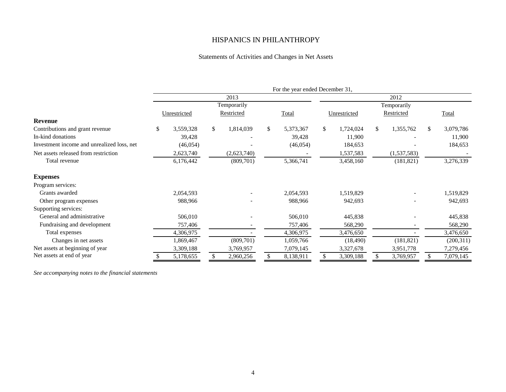#### Statements of Activities and Changes in Net Assets

|                                            |    |              |                 |              | For the year ended December 31, |              |              |     |             |              |            |
|--------------------------------------------|----|--------------|-----------------|--------------|---------------------------------|--------------|--------------|-----|-------------|--------------|------------|
|                                            |    |              | 2013            |              |                                 |              |              |     | 2012        |              |            |
|                                            |    |              | Temporarily     |              |                                 |              |              |     | Temporarily |              |            |
|                                            |    | Unrestricted | Restricted      |              | Total                           |              | Unrestricted |     | Restricted  |              | Total      |
| Revenue                                    |    |              |                 |              |                                 |              |              |     |             |              |            |
| Contributions and grant revenue            | \$ | 3,559,328    | \$<br>1,814,039 | $\mathbb{S}$ | 5,373,367                       | $\mathbb{S}$ | 1,724,024    | \$. | 1,355,762   | $\mathbb{S}$ | 3,079,786  |
| In-kind donations                          |    | 39,428       |                 |              | 39,428                          |              | 11,900       |     |             |              | 11,900     |
| Investment income and unrealized loss, net |    | (46, 054)    |                 |              | (46, 054)                       |              | 184,653      |     |             |              | 184,653    |
| Net assets released from restriction       |    | 2,623,740    | (2,623,740)     |              |                                 |              | 1,537,583    |     | (1,537,583) |              |            |
| Total revenue                              |    | 6,176,442    | (809,701)       |              | 5,366,741                       |              | 3,458,160    |     | (181, 821)  |              | 3,276,339  |
| <b>Expenses</b>                            |    |              |                 |              |                                 |              |              |     |             |              |            |
| Program services:                          |    |              |                 |              |                                 |              |              |     |             |              |            |
| Grants awarded                             |    | 2,054,593    |                 |              | 2,054,593                       |              | 1,519,829    |     |             |              | 1,519,829  |
| Other program expenses                     |    | 988,966      |                 |              | 988,966                         |              | 942,693      |     |             |              | 942,693    |
| Supporting services:                       |    |              |                 |              |                                 |              |              |     |             |              |            |
| General and administrative                 |    | 506,010      |                 |              | 506,010                         |              | 445,838      |     |             |              | 445,838    |
| Fundraising and development                |    | 757,406      |                 |              | 757,406                         |              | 568,290      |     |             |              | 568,290    |
| Total expenses                             |    | 4,306,975    |                 |              | 4,306,975                       |              | 3,476,650    |     |             |              | 3,476,650  |
| Changes in net assets                      |    | 1,869,467    | (809,701)       |              | 1,059,766                       |              | (18, 490)    |     | (181, 821)  |              | (200, 311) |
| Net assets at beginning of year            |    | 3,309,188    | 3,769,957       |              | 7,079,145                       |              | 3,327,678    |     | 3,951,778   |              | 7,279,456  |
| Net assets at end of year                  | S. | 5,178,655    | \$<br>2,960,256 | \$           | 8,138,911                       | \$           | 3,309,188    |     | 3,769,957   | \$           | 7,079,145  |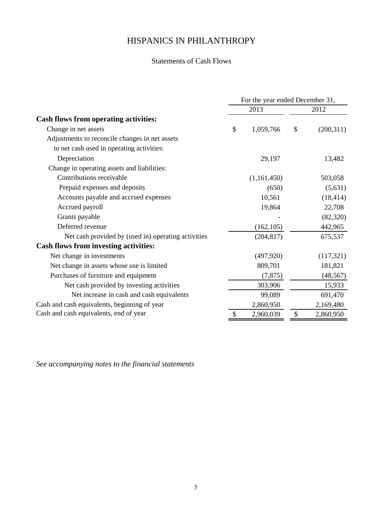# Statements of Cash Flows

|                                                     | For the year ended December 31, |             |      |           |  |
|-----------------------------------------------------|---------------------------------|-------------|------|-----------|--|
|                                                     |                                 | 2013        | 2012 |           |  |
| <b>Cash flows from operating activities:</b>        |                                 |             |      |           |  |
| Change in net assets                                | \$                              | 1,059,766   | \$   | (200,311) |  |
| Adjustments to reconcile changes in net assets      |                                 |             |      |           |  |
| to net cash used in operating activities:           |                                 |             |      |           |  |
| Depreciation                                        |                                 | 29,197      |      | 13,482    |  |
| Change in operating assets and liabilities:         |                                 |             |      |           |  |
| Contributions receivable                            |                                 | (1,161,450) |      | 503,058   |  |
| Prepaid expenses and deposits                       |                                 | (650)       |      | (5,631)   |  |
| Accounts payable and accrued expenses               |                                 | 10,561      |      | (18, 414) |  |
| Accrued payroll                                     |                                 | 19,864      |      | 22,708    |  |
| Grants payable                                      |                                 |             |      | (82, 320) |  |
| Deferred revenue                                    |                                 | (162, 105)  |      | 442,965   |  |
| Net cash provided by (used in) operating activities |                                 | (204, 817)  |      | 675,537   |  |
| <b>Cash flows from investing activities:</b>        |                                 |             |      |           |  |
| Net change in investments                           |                                 | (497, 920)  |      | (117,321) |  |
| Net change in assets whose use is limited           |                                 | 809,701     |      | 181,821   |  |
| Purchases of furniture and equipment                |                                 | (7, 875)    |      | (48, 567) |  |
| Net cash provided by investing activities           |                                 | 303,906     |      | 15,933    |  |
| Net increase in cash and cash equivalents           |                                 | 99,089      |      | 691,470   |  |
| Cash and cash equivalents, beginning of year        |                                 | 2,860,950   |      | 2,169,480 |  |
| Cash and cash equivalents, end of year              | \$                              | 2,960,039   | \$   | 2,860,950 |  |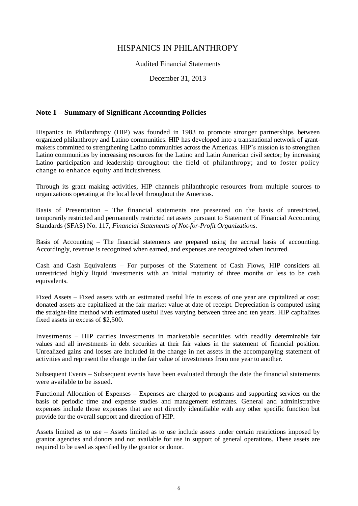#### Audited Financial Statements

December 31, 2013

#### **Note 1 – Summary of Significant Accounting Policies**

Hispanics in Philanthropy (HIP) was founded in 1983 to promote stronger partnerships between organized philanthropy and Latino communities. HIP has developed into a transnational network of grantmakers committed to strengthening Latino communities across the Americas. HIP's mission is to strengthen Latino communities by increasing resources for the Latino and Latin American civil sector; by increasing Latino participation and leadership throughout the field of philanthropy; and to foster policy change to enhance equity and inclusiveness.

Through its grant making activities, HIP channels philanthropic resources from multiple sources to organizations operating at the local level throughout the Americas.

Basis of Presentation – The financial statements are presented on the basis of unrestricted, temporarily restricted and permanently restricted net assets pursuant to Statement of Financial Accounting Standards (SFAS) No. 117, *Financial Statements of Not-for-Profit Organizations*.

Basis of Accounting – The financial statements are prepared using the accrual basis of accounting. Accordingly, revenue is recognized when earned, and expenses are recognized when incurred.

Cash and Cash Equivalents – For purposes of the Statement of Cash Flows, HIP considers all unrestricted highly liquid investments with an initial maturity of three months or less to be cash equivalents.

Fixed Assets – Fixed assets with an estimated useful life in excess of one year are capitalized at cost; donated assets are capitalized at the fair market value at date of receipt. Depreciation is computed using the straight-line method with estimated useful lives varying between three and ten years. HIP capitalizes fixed assets in excess of \$2,500.

Investments – HIP carries investments in marketable securities with readily determinable fair values and all investments in debt securities at their fair values in the statement of financial position. Unrealized gains and losses are included in the change in net assets in the accompanying statement of activities and represent the change in the fair value of investments from one year to another.

Subsequent Events – Subsequent events have been evaluated through the date the financial statements were available to be issued.

Functional Allocation of Expenses – Expenses are charged to programs and supporting services on the basis of periodic time and expense studies and management estimates. General and administrative expenses include those expenses that are not directly identifiable with any other specific function but provide for the overall support and direction of HIP.

Assets limited as to use – Assets limited as to use include assets under certain restrictions imposed by grantor agencies and donors and not available for use in support of general operations. These assets are required to be used as specified by the grantor or donor.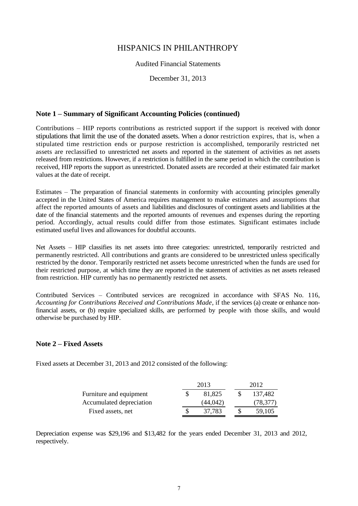#### Audited Financial Statements

December 31, 2013

#### **Note 1 – Summary of Significant Accounting Policies (continued)**

Contributions – HIP reports contributions as restricted support if the support is received with donor stipulations that limit the use of the donated assets. When a donor restriction expires, that is, when a stipulated time restriction ends or purpose restriction is accomplished, temporarily restricted net assets are reclassified to unrestricted net assets and reported in the statement of activities as net assets released from restrictions. However, if a restriction is fulfilled in the same period in which the contribution is received, HIP reports the support as unrestricted. Donated assets are recorded at their estimated fair market values at the date of receipt.

Estimates – The preparation of financial statements in conformity with accounting principles generally accepted in the United States of America requires management to make estimates and assumptions that affect the reported amounts of assets and liabilities and disclosures of contingent assets and liabilities at the date of the financial statements and the reported amounts of revenues and expenses during the reporting period. Accordingly, actual results could differ from those estimates. Significant estimates include estimated useful lives and allowances for doubtful accounts.

Net Assets – HIP classifies its net assets into three categories: unrestricted, temporarily restricted and permanently restricted. All contributions and grants are considered to be unrestricted unless specifically restricted by the donor. Temporarily restricted net assets become unrestricted when the funds are used for their restricted purpose, at which time they are reported in the statement of activities as net assets released from restriction. HIP currently has no permanently restricted net assets.

Contributed Services – Contributed services are recognized in accordance with SFAS No. 116, *Accounting for Contributions Received and Contributions Made*, if the services (a) create or enhance nonfinancial assets, or (b) require specialized skills, are performed by people with those skills, and would otherwise be purchased by HIP.

#### **Note 2 – Fixed Assets**

Fixed assets at December 31, 2013 and 2012 consisted of the following:

|                          | 2013 |           |  | 2012      |  |  |
|--------------------------|------|-----------|--|-----------|--|--|
| Furniture and equipment  |      | 81.825    |  | 137.482   |  |  |
| Accumulated depreciation |      | (44, 042) |  | (78, 377) |  |  |
| Fixed assets, net        |      | 37.783    |  | 59.105    |  |  |

Depreciation expense was \$29,196 and \$13,482 for the years ended December 31, 2013 and 2012, respectively.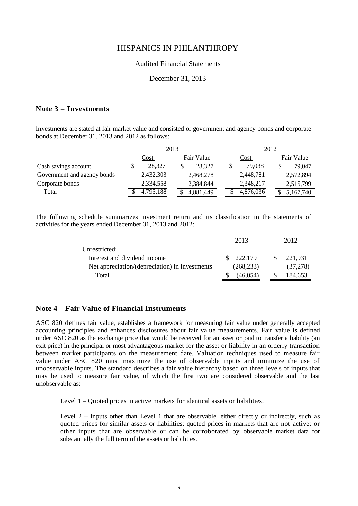#### Audited Financial Statements

#### December 31, 2013

#### **Note 3 – Investments**

Investments are stated at fair market value and consisted of government and agency bonds and corporate bonds at December 31, 2013 and 2012 as follows:

|                             | 2013 |             |  |            |  | 2012        |  |            |
|-----------------------------|------|-------------|--|------------|--|-------------|--|------------|
|                             |      | <u>Cost</u> |  | Fair Value |  | <u>Cost</u> |  | Fair Value |
| Cash savings account        |      | 28,327      |  | 28.327     |  | 79,038      |  | 79,047     |
| Government and agency bonds |      | 2,432,303   |  | 2,468,278  |  | 2,448,781   |  | 2,572,894  |
| Corporate bonds             |      | 2,334,558   |  | 2,384,844  |  | 2,348,217   |  | 2,515,799  |
| Total                       |      | 4,795,188   |  | 4,881,449  |  | 4,876,036   |  | 5,167,740  |

The following schedule summarizes investment return and its classification in the statements of activities for the years ended December 31, 2013 and 2012:

|                                                | 2013       |    | 2012     |
|------------------------------------------------|------------|----|----------|
| Unrestricted:                                  |            |    |          |
| Interest and dividend income                   | \$222,179  | S. | 221,931  |
| Net appreciation/(depreciation) in investments | (268, 233) |    | (37,278) |
| Total                                          | (46,054)   |    | 184,653  |

#### **Note 4 – Fair Value of Financial Instruments**

ASC 820 defines fair value, establishes a framework for measuring fair value under generally accepted accounting principles and enhances disclosures about fair value measurements. Fair value is defined under ASC 820 as the exchange price that would be received for an asset or paid to transfer a liability (an exit price) in the principal or most advantageous market for the asset or liability in an orderly transaction between market participants on the measurement date. Valuation techniques used to measure fair value under ASC 820 must maximize the use of observable inputs and minimize the use of unobservable inputs. The standard describes a fair value hierarchy based on three levels of inputs that may be used to measure fair value, of which the first two are considered observable and the last unobservable as:

Level 1 – Quoted prices in active markets for identical assets or liabilities.

Level 2 – Inputs other than Level 1 that are observable, either directly or indirectly, such as quoted prices for similar assets or liabilities; quoted prices in markets that are not active; or other inputs that are observable or can be corroborated by observable market data for substantially the full term of the assets or liabilities.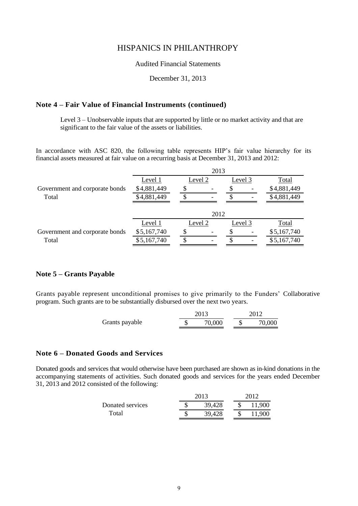#### Audited Financial Statements

December 31, 2013

#### **Note 4 – Fair Value of Financial Instruments (continued)**

Level 3 – Unobservable inputs that are supported by little or no market activity and that are significant to the fair value of the assets or liabilities.

In accordance with ASC 820, the following table represents HIP's fair value hierarchy for its financial assets measured at fair value on a recurring basis at December 31, 2013 and 2012:

|             | 2013    |         |             |  |  |  |
|-------------|---------|---------|-------------|--|--|--|
| Level 1     | Level 2 | Level 3 | Total       |  |  |  |
| \$4,881,449 |         |         | \$4,881,449 |  |  |  |
| \$4,881,449 |         |         | \$4,881,449 |  |  |  |
|             |         |         |             |  |  |  |
| Level 1     | Level 2 | Level 3 | Total       |  |  |  |
| \$5,167,740 |         |         | \$5,167,740 |  |  |  |
| \$5,167,740 |         |         | \$5,167,740 |  |  |  |
|             |         |         | 2012        |  |  |  |

#### **Note 5 – Grants Payable**

Grants payable represent unconditional promises to give primarily to the Funders' Collaborative program. Such grants are to be substantially disbursed over the next two years.

|                | 2013   | 2012 |        |  |  |  |  |
|----------------|--------|------|--------|--|--|--|--|
| Grants payable | 70,000 |      | 70,000 |  |  |  |  |

#### **Note 6 – Donated Goods and Services**

Donated goods and services that would otherwise have been purchased are shown as in-kind donations in the accompanying statements of activities. Such donated goods and services for the years ended December 31, 2013 and 2012 consisted of the following:

|                  | 2013   | 2012 |        |  |  |
|------------------|--------|------|--------|--|--|
| Donated services | 39,428 |      | 11,900 |  |  |
| Total            | 39,428 |      | 11.900 |  |  |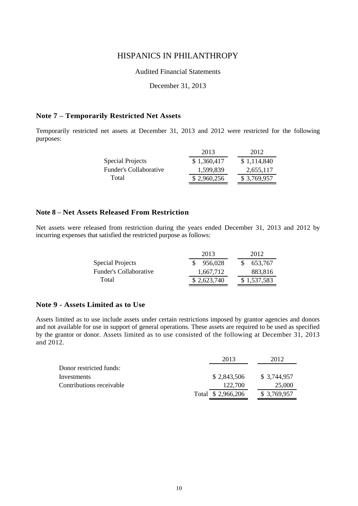#### Audited Financial Statements

December 31, 2013

#### **Note 7 – Temporarily Restricted Net Assets**

Temporarily restricted net assets at December 31, 2013 and 2012 were restricted for the following purposes:

|                         | 2013        | 2012        |
|-------------------------|-------------|-------------|
| <b>Special Projects</b> | \$1,360,417 | \$1,114,840 |
| Funder's Collaborative  | 1.599.839   | 2,655,117   |
| Total                   | \$2,960,256 | \$3,769,957 |

#### **Note 8 – Net Assets Released From Restriction**

Net assets were released from restriction during the years ended December 31, 2013 and 2012 by incurring expenses that satisfied the restricted purpose as follows:

|                        | 2013        | 2012        |
|------------------------|-------------|-------------|
| Special Projects       | 956,028     | 653,767     |
| Funder's Collaborative | 1.667.712   | 883,816     |
| Total                  | \$2,623,740 | \$1,537,583 |

#### **Note 9 - Assets Limited as to Use**

Assets limited as to use include assets under certain restrictions imposed by grantor agencies and donors and not available for use in support of general operations. These assets are required to be used as specified by the grantor or donor. Assets limited as to use consisted of the following at December 31, 2013 and 2012.

|                          | 2013              | 2012         |
|--------------------------|-------------------|--------------|
| Donor restricted funds:  |                   |              |
| Investments              | \$2,843,506       | \$ 3,744,957 |
| Contributions receivable | 122,700           | 25,000       |
|                          | Total \$2,966,206 | \$3,769,957  |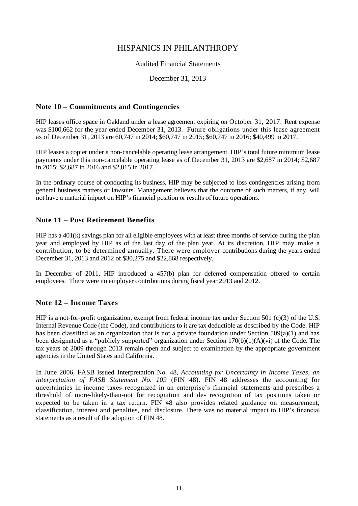#### Audited Financial Statements

December 31, 2013

#### **Note 10 – Commitments and Contingencies**

HIP leases office space in Oakland under a lease agreement expiring on October 31, 2017. Rent expense was \$100,662 for the year ended December 31, 2013. Future obligations under this lease agreement as of December 31, 2013 are 60,747 in 2014; \$60,747 in 2015; \$60,747 in 2016; \$40,499 in 2017.

HIP leases a copier under a non-cancelable operating lease arrangement. HIP's total future minimum lease payments under this non-cancelable operating lease as of December 31, 2013 are \$2,687 in 2014; \$2,687 in 2015; \$2,687 in 2016 and \$2,015 in 2017.

In the ordinary course of conducting its business, HIP may be subjected to loss contingencies arising from general business matters or lawsuits. Management believes that the outcome of such matters, if any, will not have a material impact on HIP's financial position or results of future operations.

### **Note 11 – Post Retirement Benefits**

HIP has a 401(k) savings plan for all eligible employees with at least three months of service during the plan year and employed by HIP as of the last day of the plan year. At its discretion, HIP may make a contribution, to be determined annually. There were employer contributions during the years ended December 31, 2013 and 2012 of \$30,275 and \$22,868 respectively.

In December of 2011, HIP introduced a 457(b) plan for deferred compensation offered to certain employees. There were no employer contributions during fiscal year 2013 and 2012.

#### **Note 12 – Income Taxes**

HIP is a not-for-profit organization, exempt from federal income tax under Section 501 (c)(3) of the U.S. Internal Revenue Code (the Code), and contributions to it are tax deductible as described by the Code. HIP has been classified as an organization that is not a private foundation under Section 509(a)(1) and has been designated as a "publicly supported" organization under Section 170(b)(1)(A)(vi) of the Code. The tax years of 2009 through 2013 remain open and subject to examination by the appropriate government agencies in the United States and California.

In June 2006, FASB issued Interpretation No. 48, *Accounting for Uncertainty in Income Taxes, an interpretation of FASB Statement No. 109* (FIN 48). FIN 48 addresses the accounting for uncertainties in income taxes recognized in an enterprise's financial statements and prescribes a threshold of more-likely-than-not for recognition and de- recognition of tax positions taken or expected to be taken in a tax return. FIN 48 also provides related guidance on measurement, classification, interest and penalties, and disclosure. There was no material impact to HIP's financial statements as a result of the adoption of FIN 48.